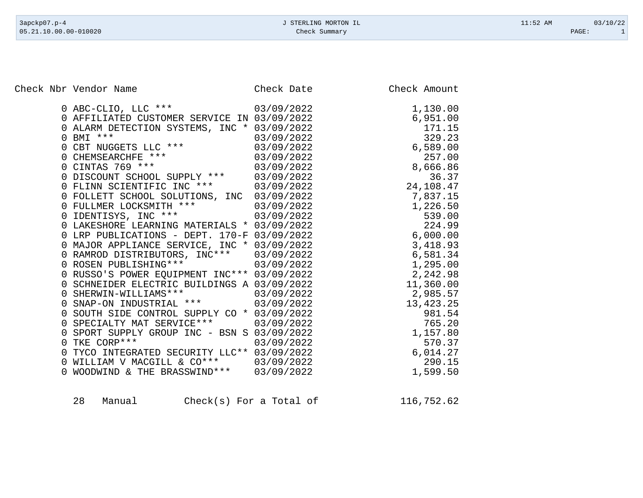Check Nbr Vendor Name Check Date Check Date Check Amount

| 0 ABC-CLIO, LLC *** 03/09/2022                                        |            | 1,130.00    |
|-----------------------------------------------------------------------|------------|-------------|
| 0 AFFILIATED CUSTOMER SERVICE IN 03/09/2022                           |            | 6,951.00    |
| 0 ALARM DETECTION SYSTEMS, INC * 03/09/2022                           |            | 171.15      |
| $0$ BMI ***                                                           | 03/09/2022 | 329.23      |
| 0 CBT NUGGETS LLC ***                                                 | 03/09/2022 | 6,589.00    |
| 0 CHEMSEARCHFE ***<br>0 CINTAS 769 ***                                | 03/09/2022 | 257.00      |
|                                                                       | 03/09/2022 | 8,666.86    |
| 0 DISCOUNT SCHOOL SUPPLY *** 03/09/2022                               |            | 36.37       |
| 0 FLINN SCIENTIFIC INC *** 03/09/2022                                 |            | 24,108.47   |
| 0 FOLLETT SCHOOL SOLUTIONS, INC 03/09/2022                            |            | 7,837.15    |
| 0 FULLMER LOCKSMITH *** 03/09/2022<br>0 IDENTISYS, INC *** 03/09/2022 |            | 1,226.50    |
|                                                                       |            | 539.00      |
| 0 LAKESHORE LEARNING MATERIALS * 03/09/2022                           |            | 224.99      |
| 0 LRP PUBLICATIONS - DEPT. 170-F 03/09/2022                           |            | 6,000.00    |
| 0 MAJOR APPLIANCE SERVICE, INC * 03/09/2022                           |            | 3,418.93    |
| 0 RAMROD DISTRIBUTORS, INC*** 03/09/2022                              |            | 6,581.34    |
| 0 ROSEN PUBLISHING *** 03/09/2022                                     |            | 1,295.00    |
| 0 RUSSO'S POWER EQUIPMENT INC*** 03/09/2022                           |            | 2,242.98    |
| 0 SCHNEIDER ELECTRIC BUILDINGS A 03/09/2022                           |            | 11,360.00   |
| 0 SHERWIN-WILLIAMS *** 03/09/2022                                     |            | 2,985.57    |
| 0 SNAP-ON INDUSTRIAL *** 03/09/2022                                   |            | 13, 423. 25 |
| 0 SOUTH SIDE CONTROL SUPPLY CO * 03/09/2022                           |            | 981.54      |
| 0 SPECIALTY MAT SERVICE *** 03/09/2022                                |            | 765.20      |
| 0 SPORT SUPPLY GROUP INC - BSN S 03/09/2022                           |            | 1,157.80    |
| 0 TKE CORP ***                                                        | 03/09/2022 | 570.37      |
| 0 TYCO INTEGRATED SECURITY LLC** 03/09/2022                           |            | 6,014.27    |
| 0 WILLIAM V MACGILL & CO***                                           | 03/09/2022 | 290.15      |
| 0 WOODWIND & THE BRASSWIND *** 03/09/2022                             |            | 1,599.50    |
|                                                                       |            |             |

28 Manual Check(s) For a Total of 116,752.62